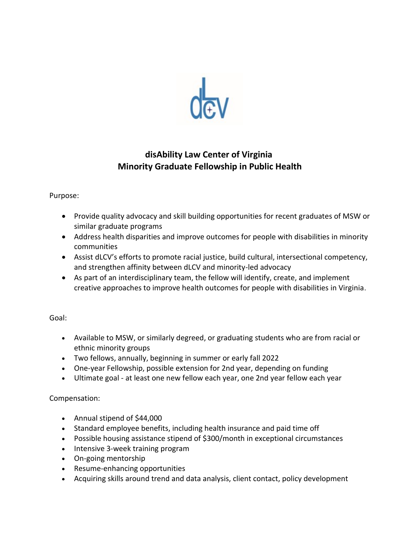

# **disAbility Law Center of Virginia Minority Graduate Fellowship in Public Health**

### Purpose:

- Provide quality advocacy and skill building opportunities for recent graduates of MSW or similar graduate programs
- Address health disparities and improve outcomes for people with disabilities in minority communities
- Assist dLCV's efforts to promote racial justice, build cultural, intersectional competency, and strengthen affinity between dLCV and minority-led advocacy
- As part of an interdisciplinary team, the fellow will identify, create, and implement creative approaches to improve health outcomes for people with disabilities in Virginia.

### Goal:

- Available to MSW, or similarly degreed, or graduating students who are from racial or ethnic minority groups
- Two fellows, annually, beginning in summer or early fall 2022
- One-year Fellowship, possible extension for 2nd year, depending on funding
- Ultimate goal at least one new fellow each year, one 2nd year fellow each year

## Compensation:

- Annual stipend of \$44,000
- Standard employee benefits, including health insurance and paid time off
- Possible housing assistance stipend of \$300/month in exceptional circumstances
- Intensive 3-week training program
- On-going mentorship
- Resume-enhancing opportunities
- Acquiring skills around trend and data analysis, client contact, policy development